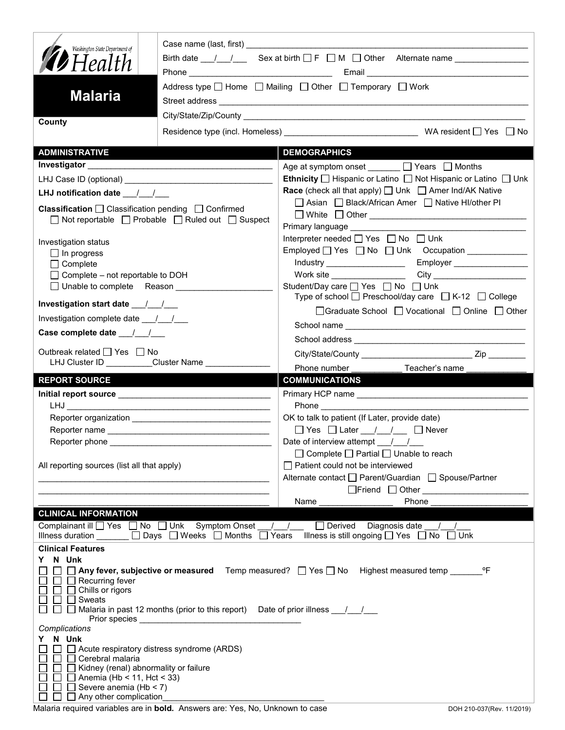| Washington State Department of                                                                                                                                                                                                                                                                          |                                                                                          |                                                                                                                                                                                                                               |  |  |
|---------------------------------------------------------------------------------------------------------------------------------------------------------------------------------------------------------------------------------------------------------------------------------------------------------|------------------------------------------------------------------------------------------|-------------------------------------------------------------------------------------------------------------------------------------------------------------------------------------------------------------------------------|--|--|
| <b>12</b> Health                                                                                                                                                                                                                                                                                        |                                                                                          | Birth date $\frac{1}{\sqrt{2}}$ Sex at birth $\Box$ F $\Box$ M $\Box$ Other Alternate name                                                                                                                                    |  |  |
| <b>Malaria</b>                                                                                                                                                                                                                                                                                          |                                                                                          | Address type □ Home □ Mailing □ Other □ Temporary □ Work                                                                                                                                                                      |  |  |
|                                                                                                                                                                                                                                                                                                         |                                                                                          |                                                                                                                                                                                                                               |  |  |
| County                                                                                                                                                                                                                                                                                                  | Residence type (incl. Homeless) __________________________________WA resident □ Yes □ No |                                                                                                                                                                                                                               |  |  |
| <b>ADMINISTRATIVE</b>                                                                                                                                                                                                                                                                                   |                                                                                          | <b>DEMOGRAPHICS</b>                                                                                                                                                                                                           |  |  |
|                                                                                                                                                                                                                                                                                                         |                                                                                          | Age at symptom onset _______ □ Years □ Months                                                                                                                                                                                 |  |  |
|                                                                                                                                                                                                                                                                                                         |                                                                                          | Ethnicity □ Hispanic or Latino □ Not Hispanic or Latino □ Unk<br><b>Race</b> (check all that apply) $\Box$ Unk $\Box$ Amer Ind/AK Native                                                                                      |  |  |
| LHJ notification date $\frac{1}{2}$                                                                                                                                                                                                                                                                     |                                                                                          | □ Asian □ Black/African Amer □ Native HI/other PI                                                                                                                                                                             |  |  |
| <b>Classification</b> $\Box$ Classification pending $\Box$ Confirmed<br>$\Box$ Not reportable $\Box$ Probable $\Box$ Ruled out $\Box$ Suspect                                                                                                                                                           |                                                                                          | Primary language                                                                                                                                                                                                              |  |  |
|                                                                                                                                                                                                                                                                                                         |                                                                                          | Interpreter needed □ Yes □ No □ Unk                                                                                                                                                                                           |  |  |
| Investigation status<br>$\Box$ In progress                                                                                                                                                                                                                                                              |                                                                                          |                                                                                                                                                                                                                               |  |  |
| $\Box$ Complete                                                                                                                                                                                                                                                                                         |                                                                                          |                                                                                                                                                                                                                               |  |  |
| $\Box$ Complete – not reportable to DOH                                                                                                                                                                                                                                                                 |                                                                                          |                                                                                                                                                                                                                               |  |  |
| □ Unable to complete Reason ________________<br>Investigation start date 11                                                                                                                                                                                                                             |                                                                                          | Student/Day care □ Yes □ No □ Unk<br>Type of school $\Box$ Preschool/day care $\Box$ K-12 $\Box$ College                                                                                                                      |  |  |
| Investigation complete date ___/___/___                                                                                                                                                                                                                                                                 |                                                                                          | □Graduate School □ Vocational □ Online □ Other                                                                                                                                                                                |  |  |
|                                                                                                                                                                                                                                                                                                         |                                                                                          |                                                                                                                                                                                                                               |  |  |
| Case complete date __/_/__/                                                                                                                                                                                                                                                                             |                                                                                          |                                                                                                                                                                                                                               |  |  |
| Outbreak related □ Yes □ No<br>LHJ Cluster ID Cluster Name                                                                                                                                                                                                                                              |                                                                                          | Phone number <b>Example</b>                                                                                                                                                                                                   |  |  |
| <b>REPORT SOURCE</b>                                                                                                                                                                                                                                                                                    |                                                                                          | Teacher's name<br><b>COMMUNICATIONS</b>                                                                                                                                                                                       |  |  |
|                                                                                                                                                                                                                                                                                                         |                                                                                          |                                                                                                                                                                                                                               |  |  |
|                                                                                                                                                                                                                                                                                                         |                                                                                          | Phone and the contract of the contract of the contract of the contract of the contract of the contract of the contract of the contract of the contract of the contract of the contract of the contract of the contract of the |  |  |
|                                                                                                                                                                                                                                                                                                         |                                                                                          | OK to talk to patient (If Later, provide date)                                                                                                                                                                                |  |  |
|                                                                                                                                                                                                                                                                                                         |                                                                                          |                                                                                                                                                                                                                               |  |  |
| Reporter phone                                                                                                                                                                                                                                                                                          |                                                                                          | Date of interview attempt ___/___/___                                                                                                                                                                                         |  |  |
|                                                                                                                                                                                                                                                                                                         |                                                                                          | $\Box$ Complete $\Box$ Partial $\Box$ Unable to reach                                                                                                                                                                         |  |  |
| All reporting sources (list all that apply)                                                                                                                                                                                                                                                             |                                                                                          | $\Box$ Patient could not be interviewed<br>Alternate contact<br>□ Parent/Guardian<br>□ Spouse/Partner                                                                                                                         |  |  |
|                                                                                                                                                                                                                                                                                                         |                                                                                          |                                                                                                                                                                                                                               |  |  |
|                                                                                                                                                                                                                                                                                                         |                                                                                          | Name<br>Phone                                                                                                                                                                                                                 |  |  |
| <b>CLINICAL INFORMATION</b>                                                                                                                                                                                                                                                                             |                                                                                          |                                                                                                                                                                                                                               |  |  |
| Complainant ill □ Yes □ No □ Unk Symptom Onset<br>Diagnosis date<br>$\sqrt{2}$<br>Derived<br>Illness duration $\Box$ Days $\Box$ Weeks $\Box$ Months $\Box$ Years<br>Illness is still ongoing $\Box$ Yes $\Box$ No $\Box$ Unk                                                                           |                                                                                          |                                                                                                                                                                                                                               |  |  |
| <b>Clinical Features</b>                                                                                                                                                                                                                                                                                |                                                                                          |                                                                                                                                                                                                                               |  |  |
| N Unk<br>Y.<br>$\Box$ Any fever, subjective or measured Temp measured? $\Box$ Yes $\Box$ No Highest measured temp<br>°F<br>$\Box$ Recurring fever<br>$\Box$ Chills or rigors<br>$\mathbf{L}$<br>Sweats<br>□ Malaria in past 12 months (prior to this report) Date of prior illness $\frac{1}{\sqrt{2}}$ |                                                                                          |                                                                                                                                                                                                                               |  |  |
|                                                                                                                                                                                                                                                                                                         |                                                                                          |                                                                                                                                                                                                                               |  |  |
| Complications<br>N Unk<br>Y.<br>Cerebral malaria<br>$\mathbf{L}$<br>Kidney (renal) abnormality or failure<br>$\Box$ Anemia (Hb < 11, Hct < 33)<br>Severe anemia (Hb < 7)<br>Any other complication                                                                                                      | Acute respiratory distress syndrome (ARDS)                                               |                                                                                                                                                                                                                               |  |  |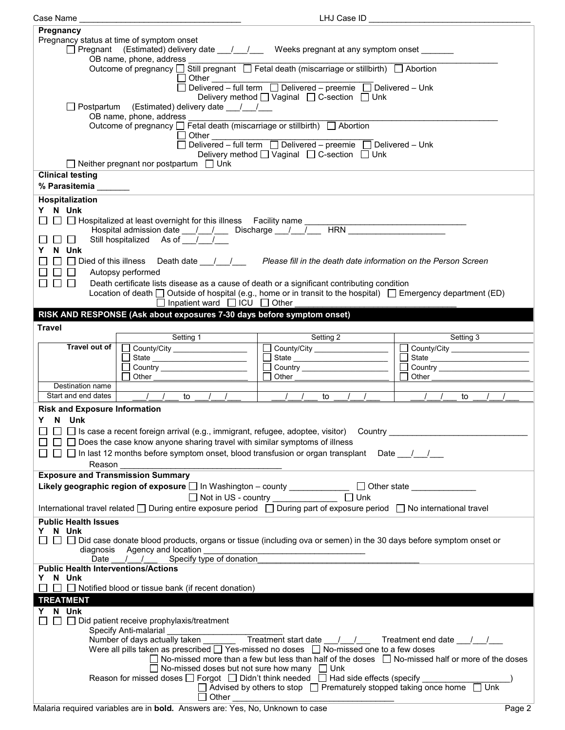| Case Name                                                                                                             |                                                                                                                                                       | LHJ Case ID                                                                                                 |                                                                                                                  |  |  |  |
|-----------------------------------------------------------------------------------------------------------------------|-------------------------------------------------------------------------------------------------------------------------------------------------------|-------------------------------------------------------------------------------------------------------------|------------------------------------------------------------------------------------------------------------------|--|--|--|
| Pregnancy                                                                                                             |                                                                                                                                                       |                                                                                                             |                                                                                                                  |  |  |  |
|                                                                                                                       | Pregnancy status at time of symptom onset                                                                                                             |                                                                                                             |                                                                                                                  |  |  |  |
|                                                                                                                       |                                                                                                                                                       |                                                                                                             |                                                                                                                  |  |  |  |
|                                                                                                                       | □ Pregnant (Estimated) delivery date ___/___/ Weeks pregnant at any symptom onset ______                                                              |                                                                                                             |                                                                                                                  |  |  |  |
| OB name, phone, address<br>Outcome of pregnancy □ Still pregnant □ Fetal death (miscarriage or stillbirth) □ Abortion |                                                                                                                                                       |                                                                                                             |                                                                                                                  |  |  |  |
|                                                                                                                       |                                                                                                                                                       |                                                                                                             |                                                                                                                  |  |  |  |
|                                                                                                                       |                                                                                                                                                       |                                                                                                             |                                                                                                                  |  |  |  |
|                                                                                                                       |                                                                                                                                                       | Delivery method <u>U</u> Vaginal □ C-section □ Unk                                                          |                                                                                                                  |  |  |  |
|                                                                                                                       | Postpartum (Estimated) delivery date __/__/__                                                                                                         |                                                                                                             |                                                                                                                  |  |  |  |
|                                                                                                                       |                                                                                                                                                       |                                                                                                             |                                                                                                                  |  |  |  |
|                                                                                                                       | Outcome of pregnancy □ Fetal death (miscarriage or stillbirth) □ Abortion                                                                             |                                                                                                             |                                                                                                                  |  |  |  |
|                                                                                                                       | $\Box$ Other                                                                                                                                          |                                                                                                             |                                                                                                                  |  |  |  |
|                                                                                                                       |                                                                                                                                                       |                                                                                                             |                                                                                                                  |  |  |  |
|                                                                                                                       |                                                                                                                                                       | Delivery method [ Vaginal [ C-section [ Unk                                                                 |                                                                                                                  |  |  |  |
|                                                                                                                       | $\Box$ Neither pregnant nor postpartum $\Box$ Unk                                                                                                     |                                                                                                             |                                                                                                                  |  |  |  |
| <b>Clinical testing</b>                                                                                               |                                                                                                                                                       |                                                                                                             |                                                                                                                  |  |  |  |
|                                                                                                                       |                                                                                                                                                       |                                                                                                             |                                                                                                                  |  |  |  |
| % Parasitemia ______                                                                                                  |                                                                                                                                                       |                                                                                                             |                                                                                                                  |  |  |  |
| Hospitalization                                                                                                       |                                                                                                                                                       |                                                                                                             |                                                                                                                  |  |  |  |
| Y N Unk                                                                                                               |                                                                                                                                                       |                                                                                                             |                                                                                                                  |  |  |  |
|                                                                                                                       | □ D Hospitalized at least overnight for this illness Facility name _________                                                                          |                                                                                                             |                                                                                                                  |  |  |  |
|                                                                                                                       | Hospital admission date __ / __ / __ Discharge __ / __ / __ HRN ________________                                                                      |                                                                                                             |                                                                                                                  |  |  |  |
| $\perp$                                                                                                               | Still hospitalized As of $\sqrt{1 + \sqrt{1 + \cdots}}$                                                                                               |                                                                                                             |                                                                                                                  |  |  |  |
| N Unk<br>Y.                                                                                                           |                                                                                                                                                       |                                                                                                             |                                                                                                                  |  |  |  |
|                                                                                                                       |                                                                                                                                                       |                                                                                                             |                                                                                                                  |  |  |  |
|                                                                                                                       | □ Died of this illness Death date / / / Please fill in the death date information on the Person Screen                                                |                                                                                                             |                                                                                                                  |  |  |  |
| $\perp$                                                                                                               | Autopsy performed                                                                                                                                     |                                                                                                             |                                                                                                                  |  |  |  |
| $\Box$ $\Box$                                                                                                         | Death certificate lists disease as a cause of death or a significant contributing condition                                                           |                                                                                                             |                                                                                                                  |  |  |  |
|                                                                                                                       | Location of death $\Box$ Outside of hospital (e.g., home or in transit to the hospital) $\Box$ Emergency department (ED)                              |                                                                                                             |                                                                                                                  |  |  |  |
|                                                                                                                       | □ Inpatient ward □ ICU □ Other                                                                                                                        |                                                                                                             |                                                                                                                  |  |  |  |
|                                                                                                                       | RISK AND RESPONSE (Ask about exposures 7-30 days before symptom onset)                                                                                |                                                                                                             |                                                                                                                  |  |  |  |
|                                                                                                                       |                                                                                                                                                       |                                                                                                             |                                                                                                                  |  |  |  |
| <b>Travel</b>                                                                                                         |                                                                                                                                                       |                                                                                                             |                                                                                                                  |  |  |  |
|                                                                                                                       | Setting 1                                                                                                                                             | Setting 2                                                                                                   | <b>Setting 3</b>                                                                                                 |  |  |  |
| Travel out of                                                                                                         | County/City ___________________                                                                                                                       | County/City                                                                                                 | County/City                                                                                                      |  |  |  |
|                                                                                                                       | State                                                                                                                                                 | State                                                                                                       |                                                                                                                  |  |  |  |
|                                                                                                                       | Country _______________________                                                                                                                       |                                                                                                             |                                                                                                                  |  |  |  |
|                                                                                                                       |                                                                                                                                                       |                                                                                                             |                                                                                                                  |  |  |  |
|                                                                                                                       | Other                                                                                                                                                 | Other                                                                                                       | Other                                                                                                            |  |  |  |
| Destination name                                                                                                      |                                                                                                                                                       |                                                                                                             |                                                                                                                  |  |  |  |
| Start and end dates                                                                                                   |                                                                                                                                                       |                                                                                                             |                                                                                                                  |  |  |  |
|                                                                                                                       | $\left  \begin{array}{cccc} \end{array} \right $ $\left  \begin{array}{cccc} \end{array} \right $ to $\left  \begin{array}{cccc} \end{array} \right $ | $\sqrt{1}$ to $\sqrt{1}$                                                                                    | $\left  \begin{array}{cccc} I & I \end{array} \right $ to $\left  \begin{array}{cccc} I & I \end{array} \right $ |  |  |  |
| <b>Risk and Exposure Information</b>                                                                                  |                                                                                                                                                       |                                                                                                             |                                                                                                                  |  |  |  |
| Y N Unk                                                                                                               |                                                                                                                                                       |                                                                                                             |                                                                                                                  |  |  |  |
|                                                                                                                       | $\Box$ $\Box$ Is case a recent foreign arrival (e.g., immigrant, refugee, adoptee, visitor) Country _                                                 |                                                                                                             |                                                                                                                  |  |  |  |
|                                                                                                                       |                                                                                                                                                       |                                                                                                             |                                                                                                                  |  |  |  |
|                                                                                                                       | $\Box$ Does the case know anyone sharing travel with similar symptoms of illness                                                                      |                                                                                                             |                                                                                                                  |  |  |  |
|                                                                                                                       | □ □ In last 12 months before symptom onset, blood transfusion or organ transplant Date                                                                |                                                                                                             |                                                                                                                  |  |  |  |
| Reason                                                                                                                |                                                                                                                                                       |                                                                                                             |                                                                                                                  |  |  |  |
| <b>Exposure and Transmission Summary</b>                                                                              |                                                                                                                                                       |                                                                                                             |                                                                                                                  |  |  |  |
|                                                                                                                       | Likely geographic region of exposure □ In Washington – county ______________ □ Other state ______________                                             |                                                                                                             |                                                                                                                  |  |  |  |
|                                                                                                                       |                                                                                                                                                       | $\Box$ Unk                                                                                                  |                                                                                                                  |  |  |  |
|                                                                                                                       |                                                                                                                                                       | Not in US - country ______________                                                                          |                                                                                                                  |  |  |  |
|                                                                                                                       | International travel related □ During entire exposure period □ During part of exposure period □ No international travel                               |                                                                                                             |                                                                                                                  |  |  |  |
| <b>Public Health Issues</b>                                                                                           |                                                                                                                                                       |                                                                                                             |                                                                                                                  |  |  |  |
| N Unk                                                                                                                 |                                                                                                                                                       |                                                                                                             |                                                                                                                  |  |  |  |
|                                                                                                                       | $\Box$ $\Box$ Did case donate blood products, organs or tissue (including ova or semen) in the 30 days before symptom onset or                        |                                                                                                             |                                                                                                                  |  |  |  |
| diagnosis                                                                                                             | Agency and location                                                                                                                                   |                                                                                                             |                                                                                                                  |  |  |  |
| Date                                                                                                                  | Specify type of donation<br>$\sqrt{2}$                                                                                                                |                                                                                                             |                                                                                                                  |  |  |  |
| <b>Public Health Interventions/Actions</b>                                                                            |                                                                                                                                                       |                                                                                                             |                                                                                                                  |  |  |  |
| N Unk<br>Y.                                                                                                           |                                                                                                                                                       |                                                                                                             |                                                                                                                  |  |  |  |
|                                                                                                                       | $\Box$ Notified blood or tissue bank (if recent donation)                                                                                             |                                                                                                             |                                                                                                                  |  |  |  |
| <b>TREATMENT</b>                                                                                                      |                                                                                                                                                       |                                                                                                             |                                                                                                                  |  |  |  |
| N Unk<br>Y.                                                                                                           |                                                                                                                                                       |                                                                                                             |                                                                                                                  |  |  |  |
|                                                                                                                       | Did patient receive prophylaxis/treatment                                                                                                             |                                                                                                             |                                                                                                                  |  |  |  |
|                                                                                                                       |                                                                                                                                                       |                                                                                                             |                                                                                                                  |  |  |  |
|                                                                                                                       |                                                                                                                                                       |                                                                                                             | Treatment end date / /                                                                                           |  |  |  |
|                                                                                                                       | Were all pills taken as prescribed $\Box$ Yes-missed no doses $\Box$ No-missed one to a few doses                                                     |                                                                                                             |                                                                                                                  |  |  |  |
|                                                                                                                       |                                                                                                                                                       | $\Box$ No-missed more than a few but less than half of the doses $\Box$ No-missed half or more of the doses |                                                                                                                  |  |  |  |
|                                                                                                                       |                                                                                                                                                       |                                                                                                             |                                                                                                                  |  |  |  |
|                                                                                                                       | $\Box$ No-missed doses but not sure how many $\Box$ Unk                                                                                               |                                                                                                             |                                                                                                                  |  |  |  |
|                                                                                                                       | Reason for missed doses $\Box$ Forgot $\Box$ Didn't think needed $\Box$ Had side effects (specify                                                     | $\Box$ Advised by others to stop $\Box$ Prematurely stopped taking once home $\Box$ Unk                     |                                                                                                                  |  |  |  |